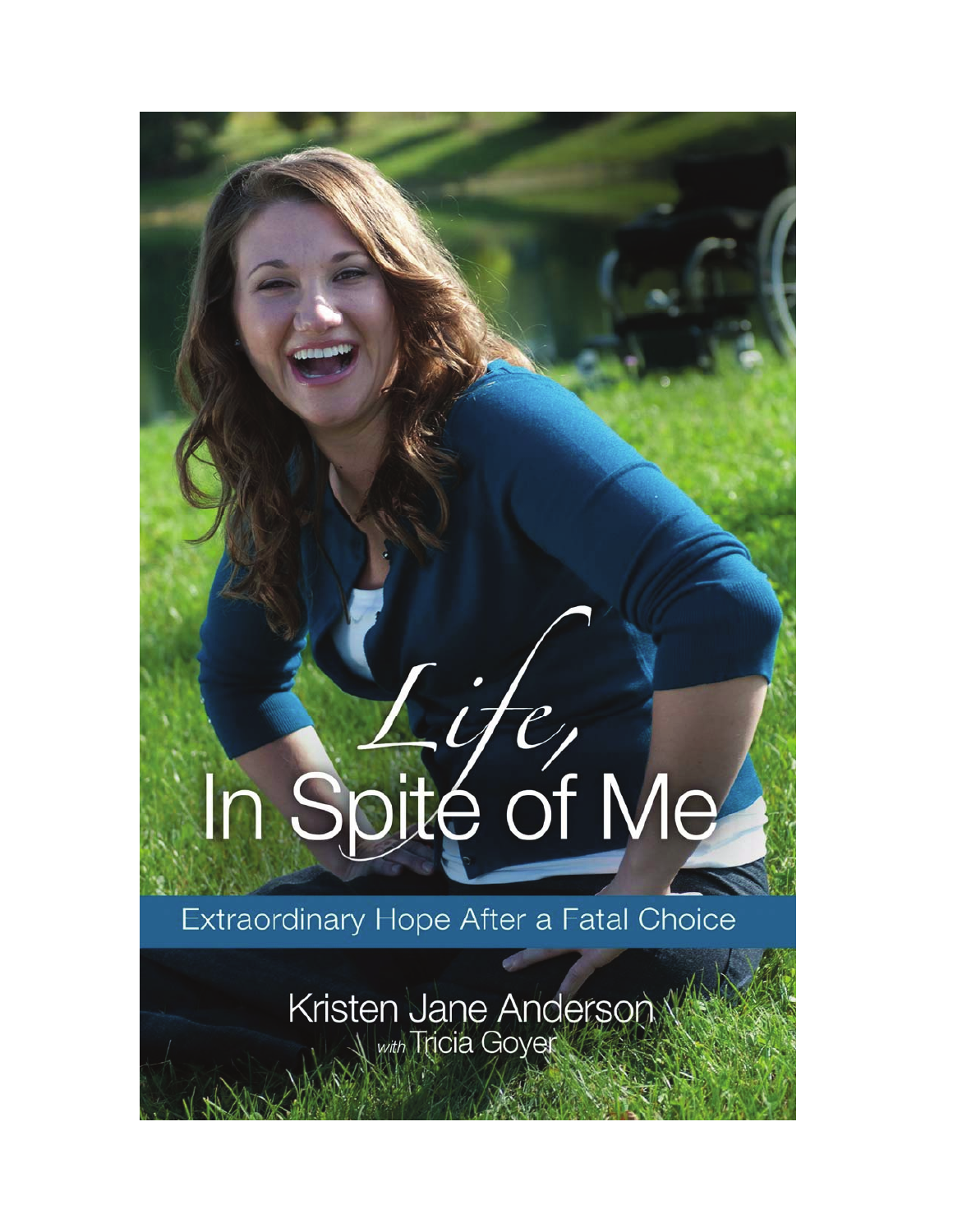# In Spite of Me

## Extraordinary Hope After a Fatal Choice

Kristen Jane Anderson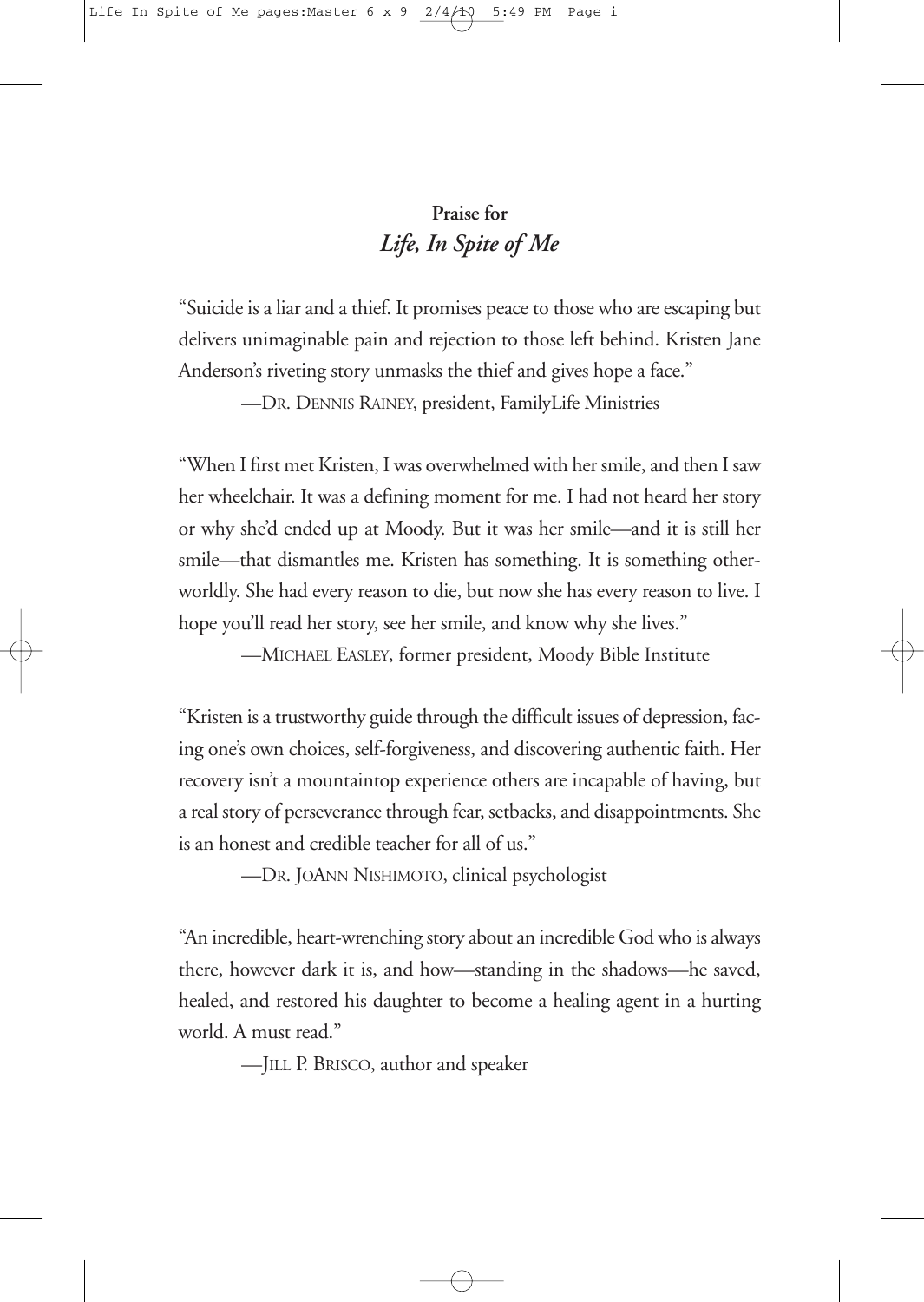### **Praise for** *Life, In Spite of Me*

"Suicide is a liar and a thief. It promises peace to those who are escaping but delivers unimaginable pain and rejection to those left behind. Kristen Jane Anderson's riveting story unmasks the thief and gives hope a face."

—DR. DENNIS RAINEY, president, FamilyLife Ministries

"When I first met Kristen, I was overwhelmed with her smile, and then I saw her wheelchair. It was a defining moment for me. I had not heard her story or why she'd ended up at Moody. But it was her smile—and it is still her smile—that dismantles me. Kristen has something. It is something otherworldly. She had every reason to die, but now she has every reason to live. I hope you'll read her story, see her smile, and know why she lives."

—MICHAEL EASLEY, former president, Moody Bible Institute

"Kristen is a trustworthy guide through the difficult issues of depression, facing one's own choices, self-forgiveness, and discovering authentic faith. Her recovery isn't a mountaintop experience others are incapable of having, but a real story of perseverance through fear, setbacks, and disappointments. She is an honest and credible teacher for all of us."

—DR. JOANN NISHIMOTO, clinical psychologist

"An incredible, heart-wrenching story about an incredible God who is always there, however dark it is, and how—standing in the shadows—he saved, healed, and restored his daughter to become a healing agent in a hurting world. A must read."

—JILL P. BRISCO, author and speaker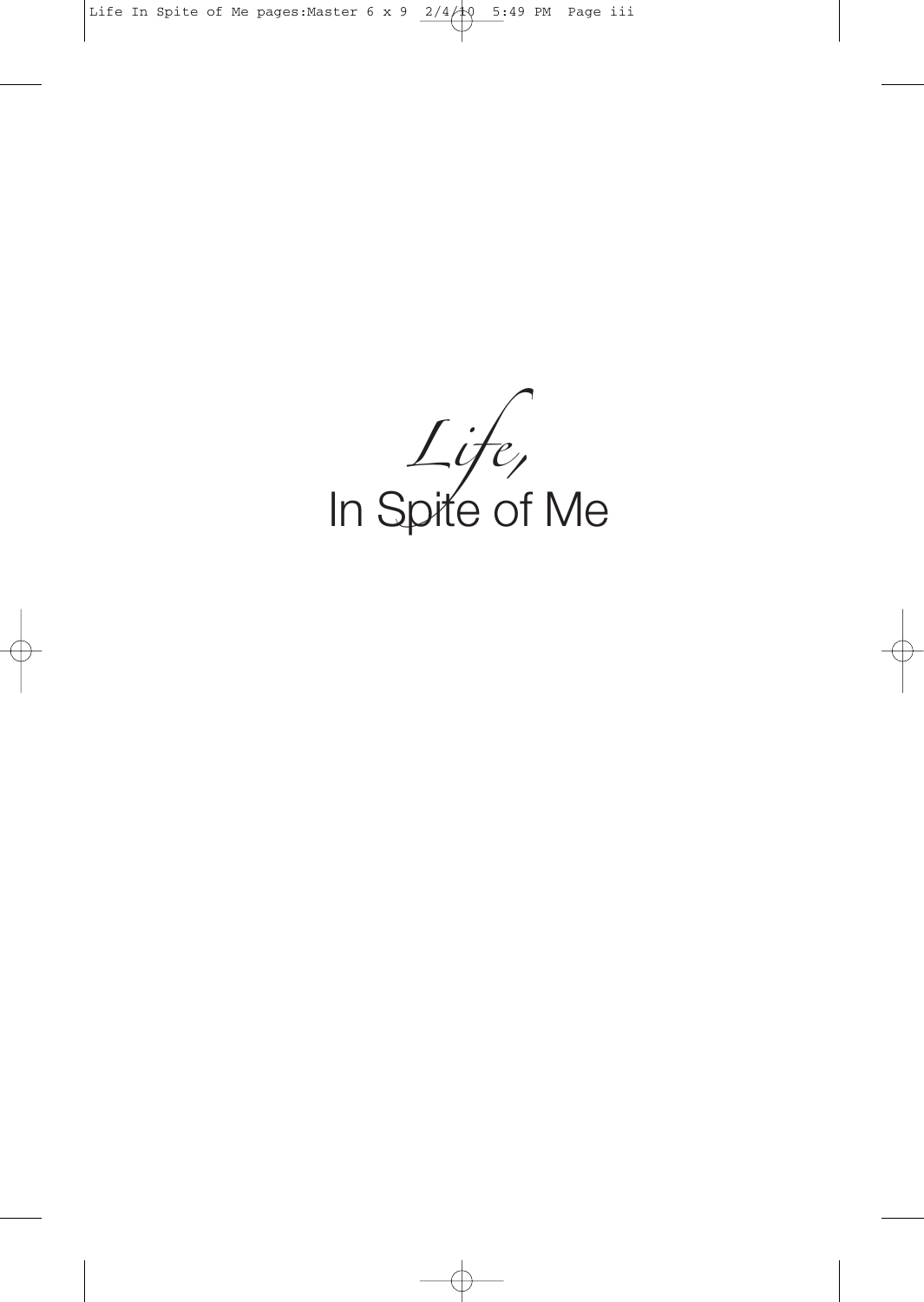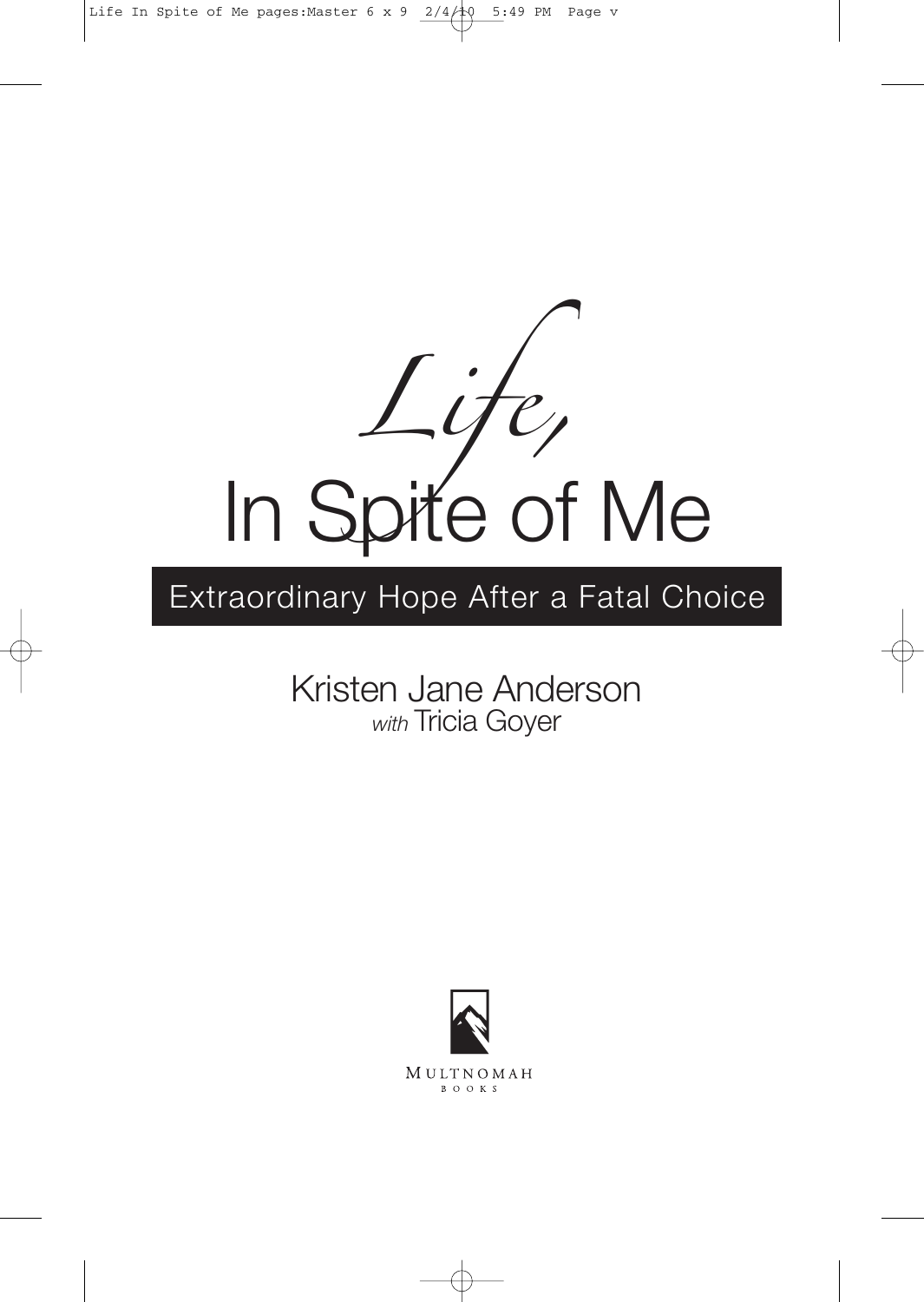

## Extraordinary Hope After a Fatal Choice

### Kristen Jane Anderson *with* Tricia Goyer

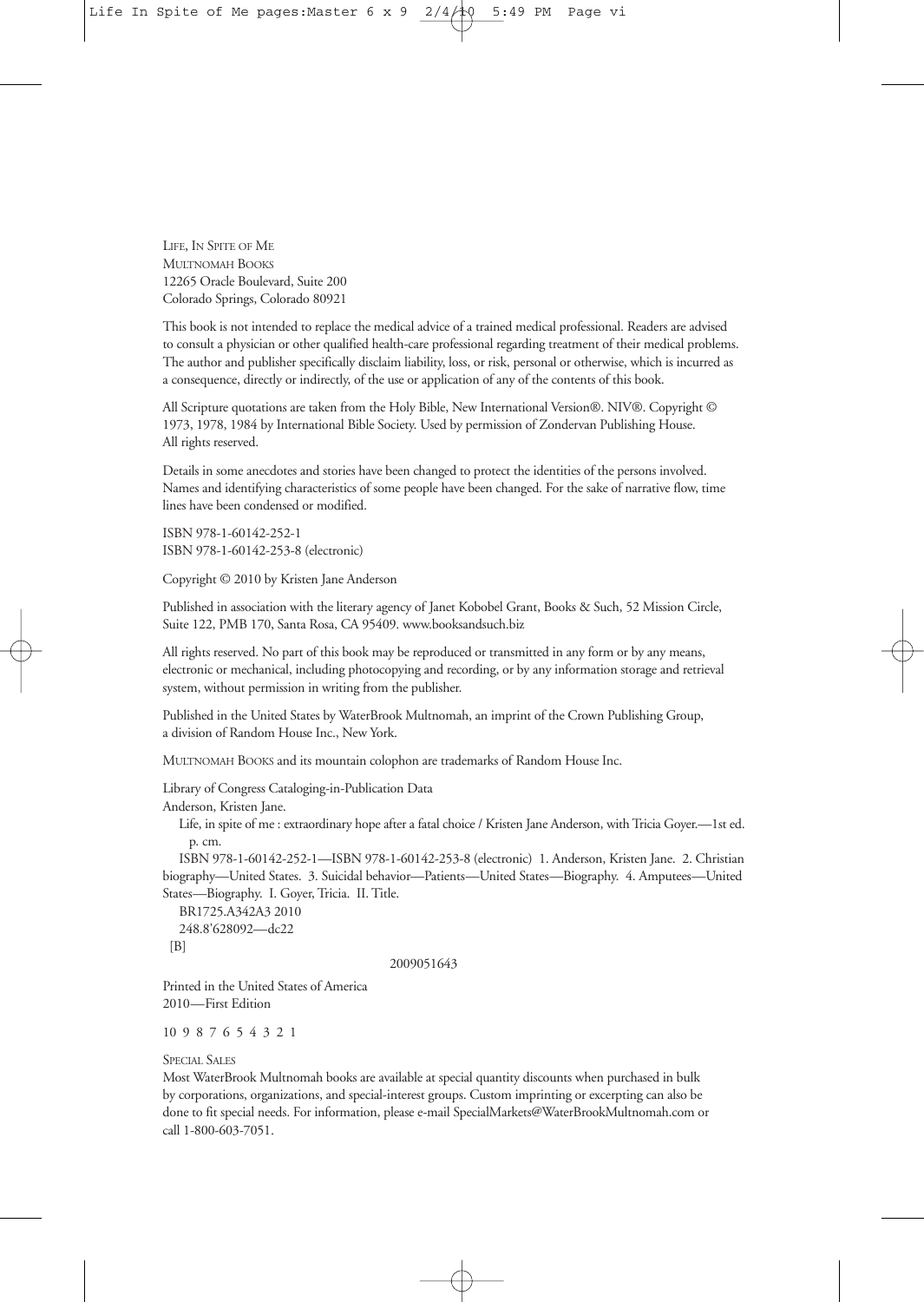LIFE, IN SPITE OF ME MULTNOMAH BOOKS 12265 Oracle Boulevard, Suite 200 Colorado Springs, Colorado 80921

This book is not intended to replace the medical advice of a trained medical professional. Readers are advised to consult a physician or other qualified health-care professional regarding treatment of their medical problems. The author and publisher specifically disclaim liability, loss, or risk, personal or otherwise, which is incurred as a consequence, directly or indirectly, of the use or application of any of the contents of this book.

All Scripture quotations are taken from the Holy Bible, New International Version®. NIV®. Copyright © 1973, 1978, 1984 by International Bible Society. Used by permission of Zondervan Publishing House. All rights reserved.

Details in some anecdotes and stories have been changed to protect the identities of the persons involved. Names and identifying characteristics of some people have been changed. For the sake of narrative flow, time lines have been condensed or modified.

ISBN 978-1-60142-252-1 ISBN 978-1-60142-253-8 (electronic)

Copyright © 2010 by Kristen Jane Anderson

Published in association with the literary agency of Janet Kobobel Grant, Books & Such, 52 Mission Circle, Suite 122, PMB 170, Santa Rosa, CA 95409. www.booksandsuch.biz

All rights reserved. No part of this book may be reproduced or transmitted in any form or by any means, electronic or mechanical, including photocopying and recording, or by any information storage and retrieval system, without permission in writing from the publisher.

Published in the United States by WaterBrook Multnomah, an imprint of the Crown Publishing Group, a division of Random House Inc., New York.

MULTNOMAH BOOKS and its mountain colophon are trademarks of Random House Inc.

Library of Congress Cataloging-in-Publication Data

Anderson, Kristen Jane.

Life, in spite of me : extraordinary hope after a fatal choice / Kristen Jane Anderson, with Tricia Goyer.—1st ed. p. cm.

ISBN 978-1-60142-252-1—ISBN 978-1-60142-253-8 (electronic) 1. Anderson, Kristen Jane. 2. Christian biography—United States. 3. Suicidal behavior—Patients—United States—Biography. 4. Amputees—United States—Biography. I. Goyer, Tricia. II. Title.

BR1725.A342A3 2010 248.8'628092—dc22  $[B]$ 

#### 2009051643

Printed in the United States of America 2010—First Edition

10 9 8 7 6 5 4 3 2 1

SPECIAL SALES

Most WaterBrook Multnomah books are available at special quantity discounts when purchased in bulk by corporations, organizations, and special-interest groups. Custom imprinting or excerpting can also be done to fit special needs. For information, please e-mail SpecialMarkets@WaterBrookMultnomah.com or call 1-800-603-7051.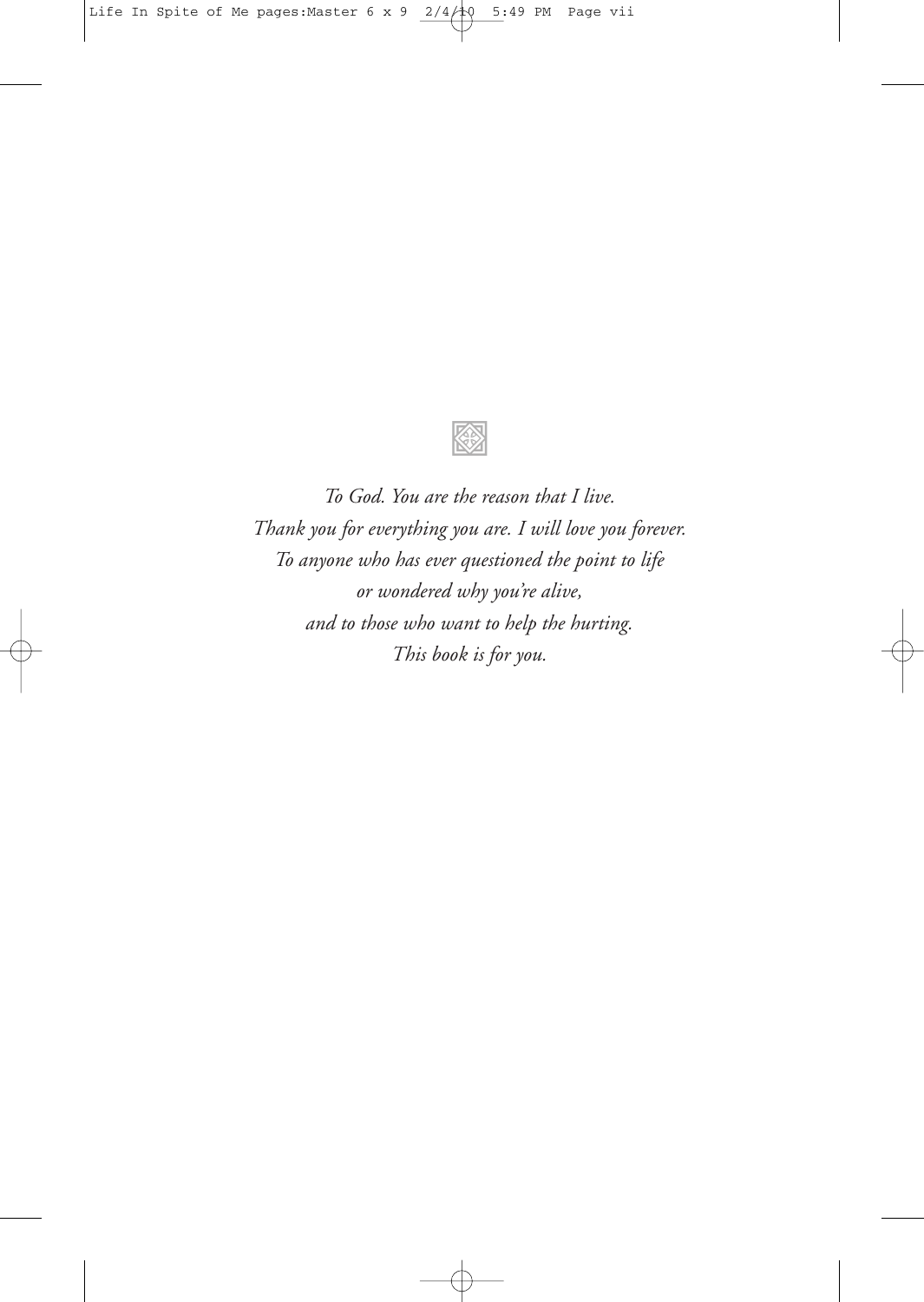

*To God. You are the reason that I live. Thank you for everything you are. I will love you forever. To anyone who has ever questioned the point to life or wondered why you're alive, and to those who want to help the hurting. This book is for you.*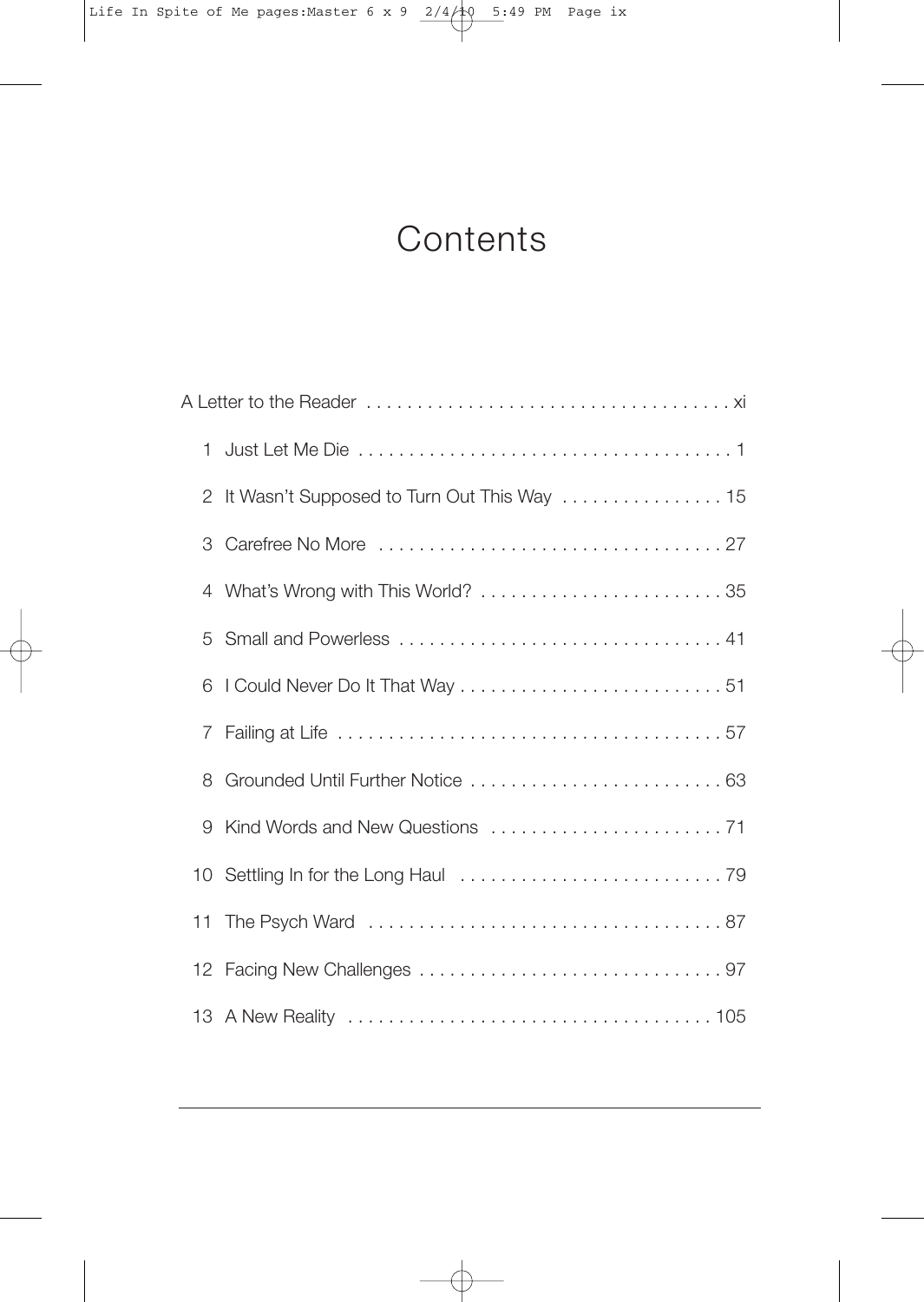## **Contents**

| 2 | It Wasn't Supposed to Turn Out This Way  15 |
|---|---------------------------------------------|
| 3 |                                             |
| 4 | What's Wrong with This World?  35           |
| 5 |                                             |
| 6 |                                             |
|   |                                             |
| 8 | Grounded Until Further Notice  63           |
| 9 |                                             |
|   |                                             |
|   |                                             |
|   |                                             |
|   |                                             |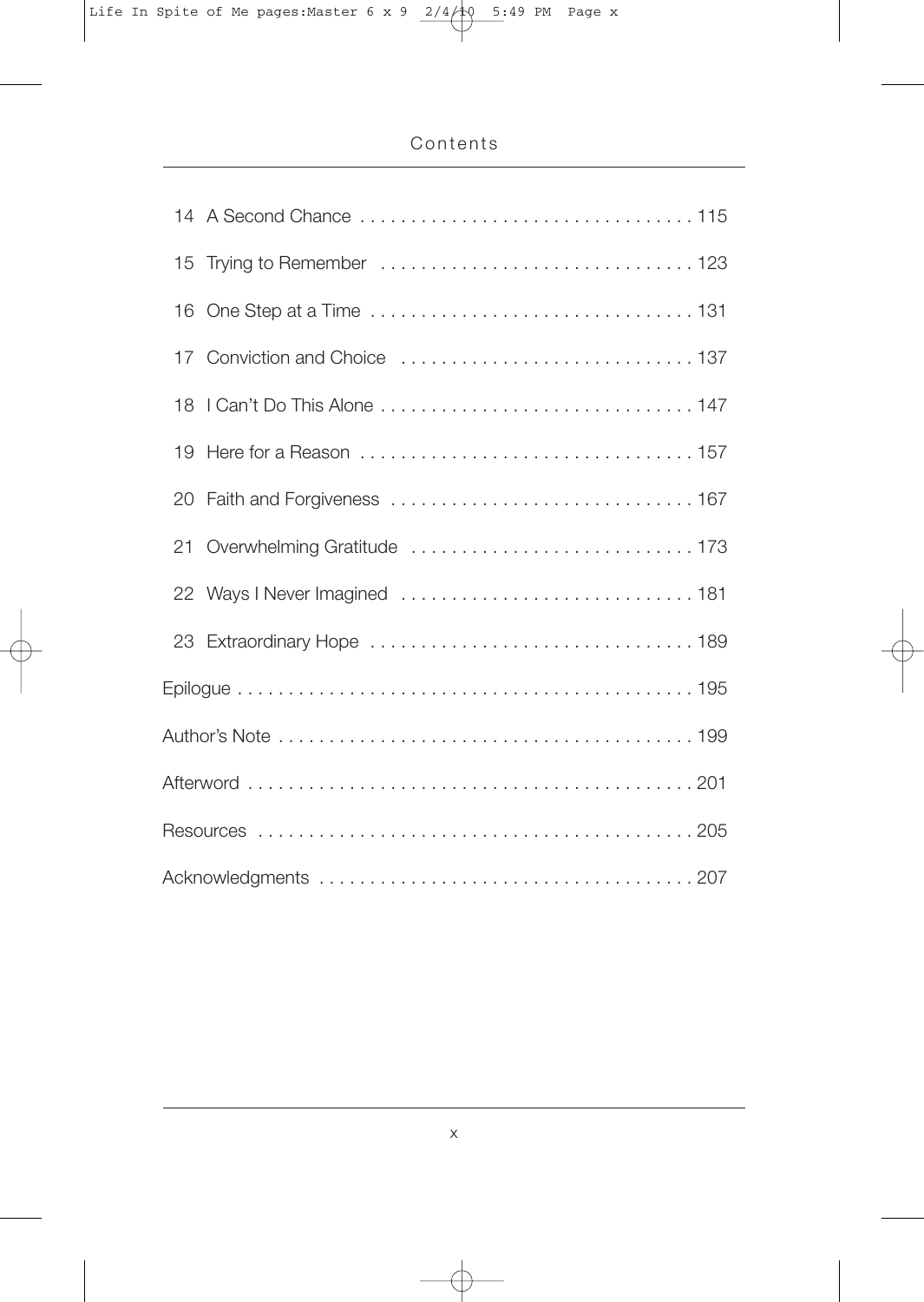| 15 Trying to Remember  123     |  |  |
|--------------------------------|--|--|
|                                |  |  |
|                                |  |  |
|                                |  |  |
| 19                             |  |  |
|                                |  |  |
| 21 Overwhelming Gratitude  173 |  |  |
| 22 Ways I Never Imagined  181  |  |  |
|                                |  |  |
|                                |  |  |
|                                |  |  |
|                                |  |  |
|                                |  |  |
|                                |  |  |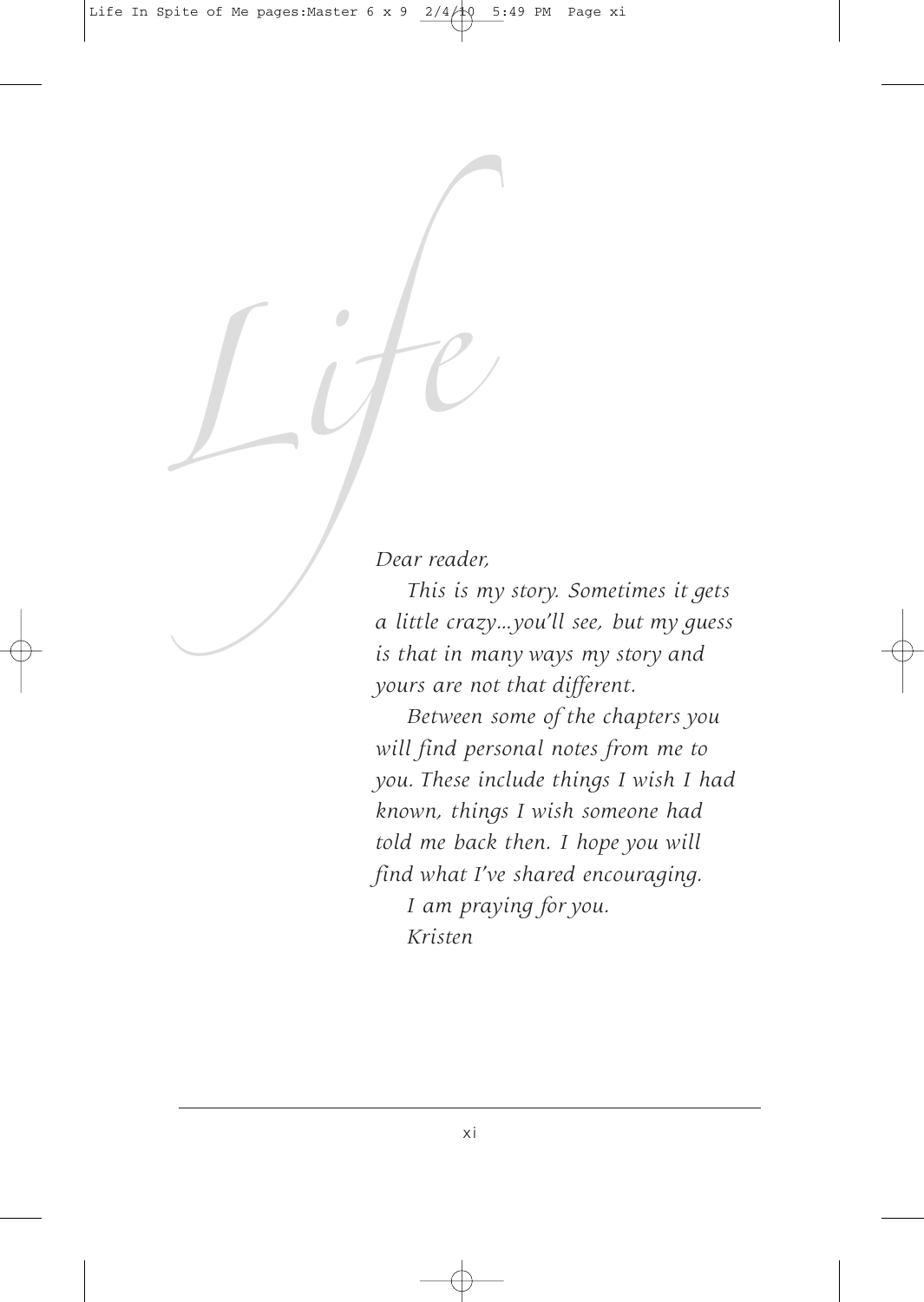*Dear reader,*

Dear reader,<br>Dear reader,<br>This is my story. So<br>a little crazy...you'll set *This is my story. Sometimes it gets a little crazy…you'll see, but my guess is that in many ways my story and yours are not that different.*

> *Between some of the chapters you will find personal notes from me to you. These include things I wish I had known, things I wish someone had told me back then. I hope you will find what I've shared encouraging.*

*I am praying for you. Kristen*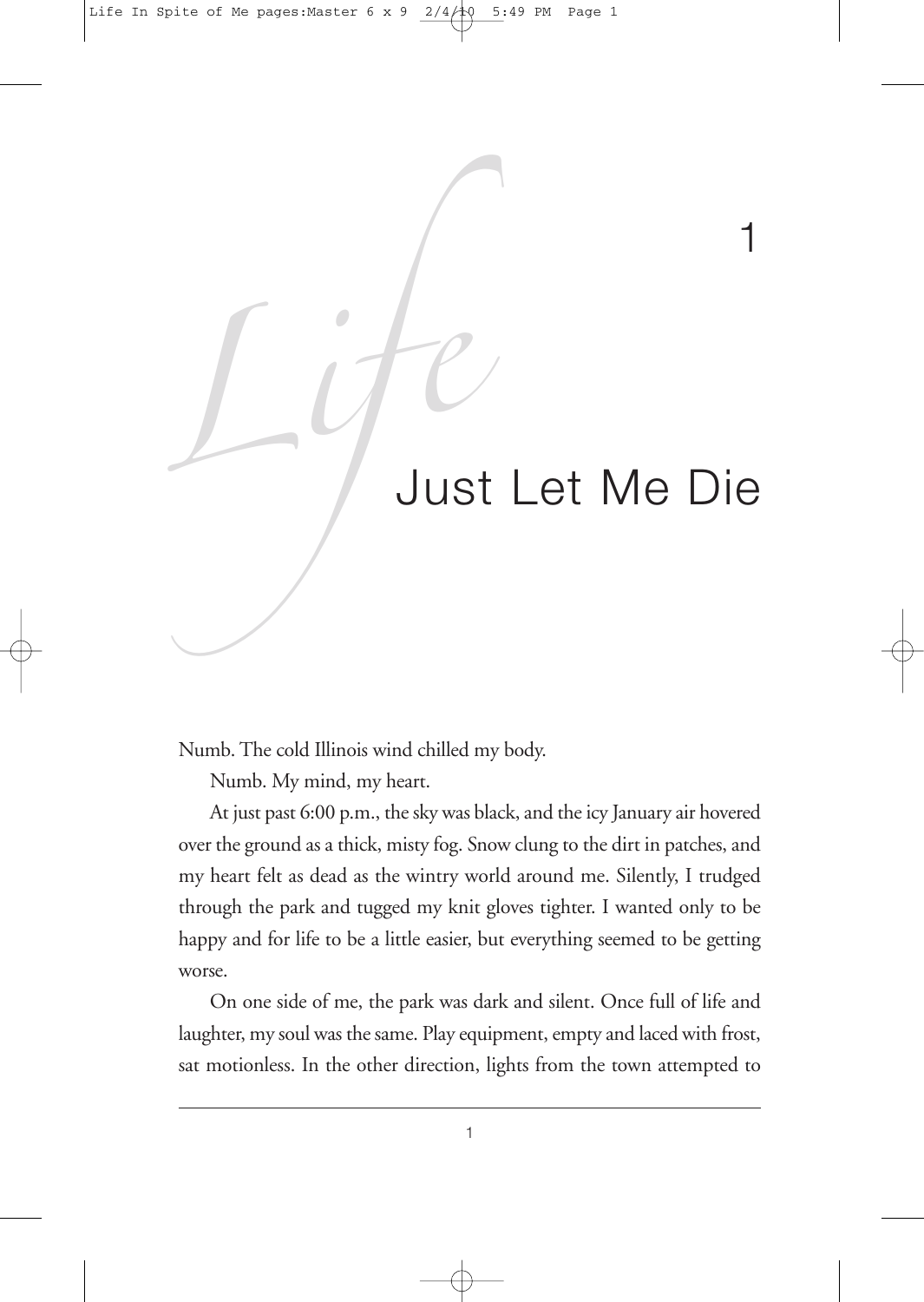# Life<br>Just Let Just Let Me Die

1

Numb. The cold Illinois wind chilled my body.

Numb. My mind, my heart.

At just past 6:00 p.m., the sky was black, and the icy January air hovered over the ground as a thick, misty fog. Snow clung to the dirt in patches, and my heart felt as dead as the wintry world around me. Silently, I trudged through the park and tugged my knit gloves tighter. I wanted only to be happy and for life to be a little easier, but everything seemed to be getting worse.

On one side of me, the park was dark and silent. Once full of life and laughter, my soul was the same. Play equipment, empty and laced with frost, sat motionless. In the other direction, lights from the town attempted to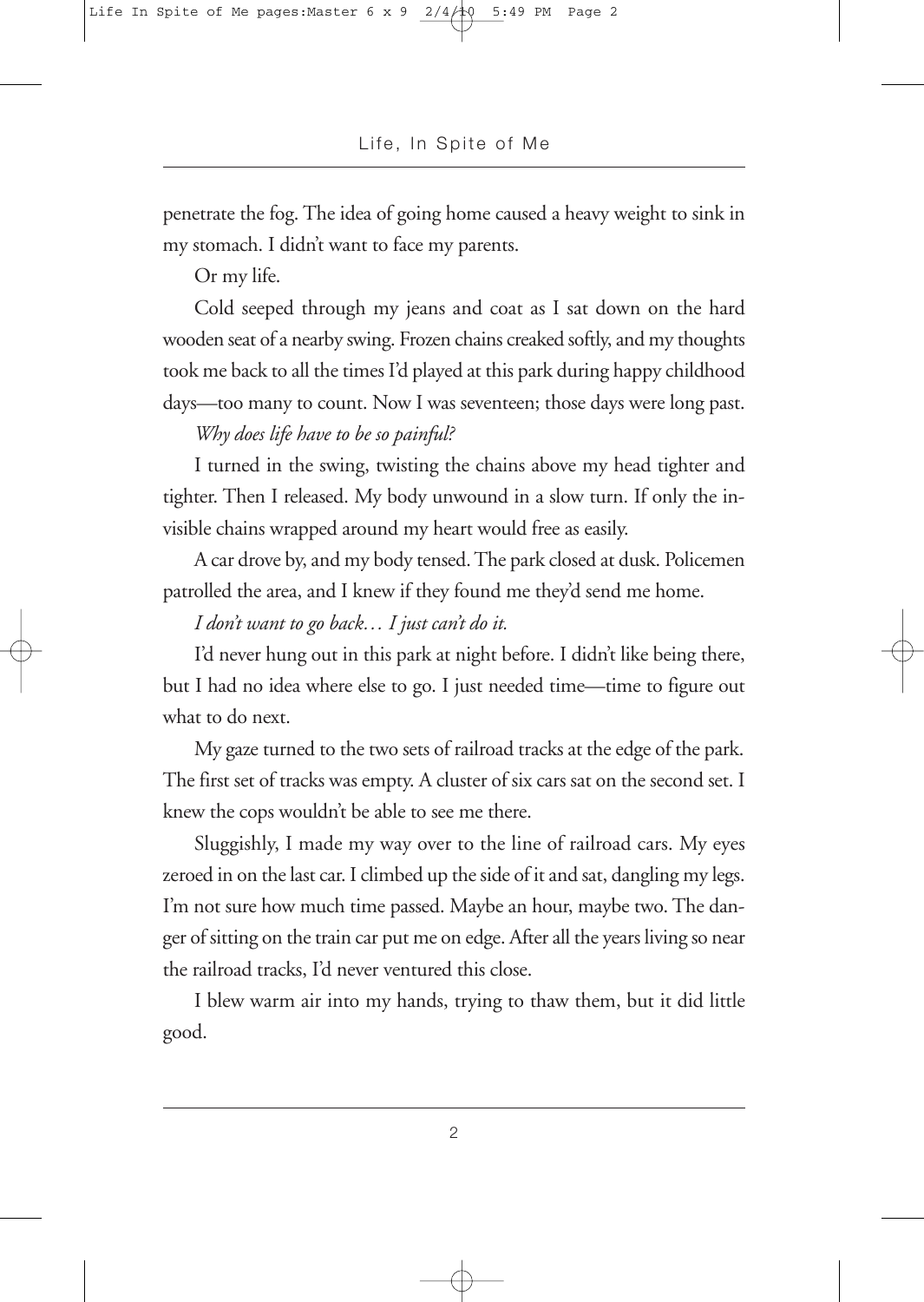penetrate the fog. The idea of going home caused a heavy weight to sink in my stomach. I didn't want to face my parents.

Or my life.

Cold seeped through my jeans and coat as I sat down on the hard wooden seat of a nearby swing. Frozen chains creaked softly, and my thoughts took me back to all the times I'd played at this park during happy childhood days—too many to count. Now I was seventeen; those days were long past.

### *Why does life have to be so painful?*

I turned in the swing, twisting the chains above my head tighter and tighter. Then I released. My body unwound in a slow turn. If only the invisible chains wrapped around my heart would free as easily.

A car drove by, and my body tensed.The park closed at dusk. Policemen patrolled the area, and I knew if they found me they'd send me home.

### *I don't want to go back… I just can't do it.*

I'd never hung out in this park at night before. I didn't like being there, but I had no idea where else to go. I just needed time—time to figure out what to do next.

My gaze turned to the two sets of railroad tracks at the edge of the park. The first set of tracks was empty. A cluster of six cars sat on the second set. I knew the cops wouldn't be able to see me there.

Sluggishly, I made my way over to the line of railroad cars. My eyes zeroed in on the last car. I climbed up the side of it and sat, dangling my legs. I'm not sure how much time passed. Maybe an hour, maybe two. The danger of sitting on the train car put me on edge. After all the years living so near the railroad tracks, I'd never ventured this close.

I blew warm air into my hands, trying to thaw them, but it did little good.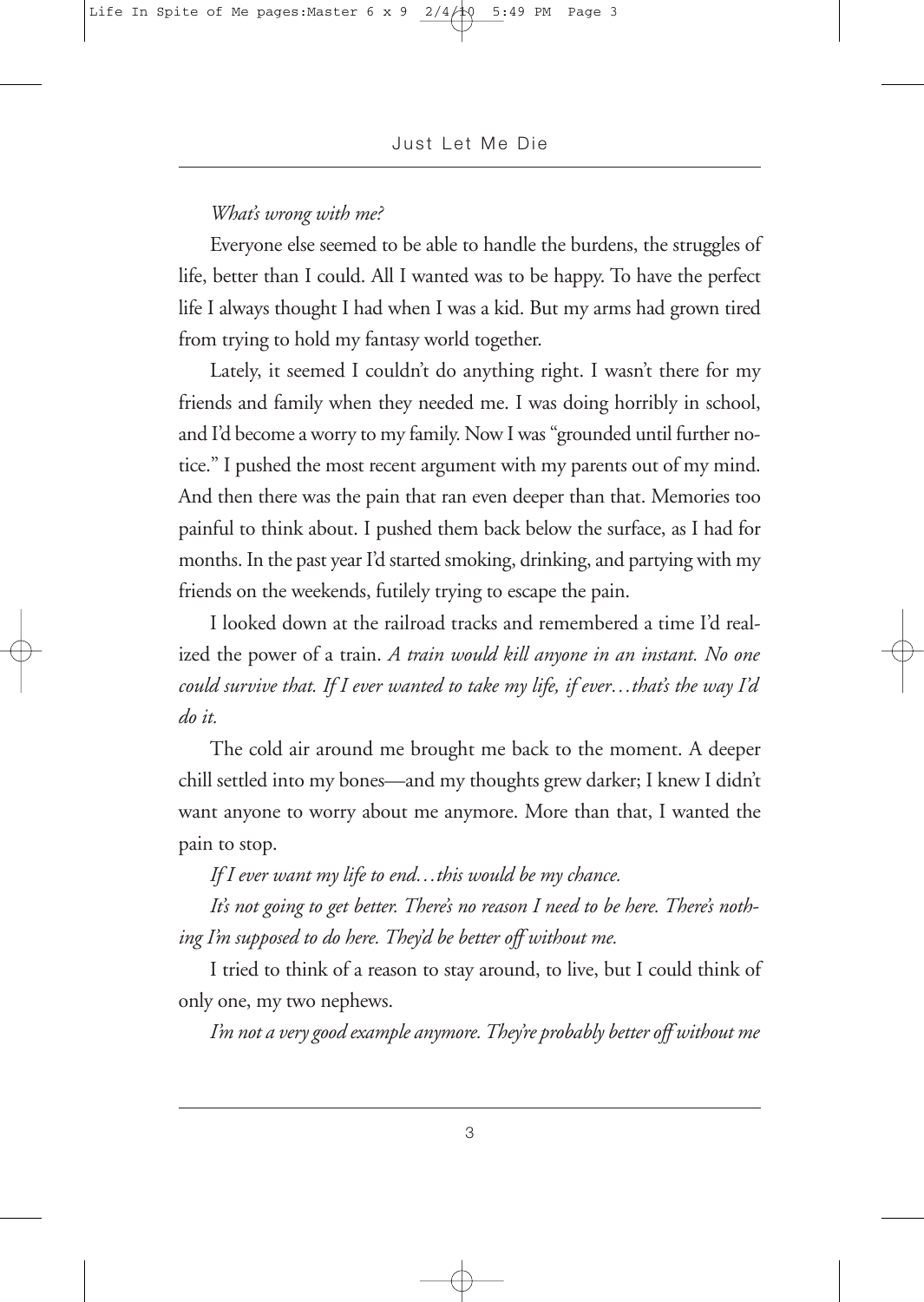#### *What's wrong with me?*

Everyone else seemed to be able to handle the burdens, the struggles of life, better than I could. All I wanted was to be happy. To have the perfect life I always thought I had when I was a kid. But my arms had grown tired from trying to hold my fantasy world together.

Lately, it seemed I couldn't do anything right. I wasn't there for my friends and family when they needed me. I was doing horribly in school, and I'd become a worry to my family. Now I was "grounded until further notice." I pushed the most recent argument with my parents out of my mind. And then there was the pain that ran even deeper than that. Memories too painful to think about. I pushed them back below the surface, as I had for months. In the past year I'd started smoking, drinking, and partying with my friends on the weekends, futilely trying to escape the pain.

I looked down at the railroad tracks and remembered a time I'd realized the power of a train. *A train would kill anyone in an instant. No one could survive that. If I ever wanted to take my life, if ever…that's the way I'd do it.*

The cold air around me brought me back to the moment. A deeper chill settled into my bones—and my thoughts grew darker; I knew I didn't want anyone to worry about me anymore. More than that, I wanted the pain to stop.

*If I ever want my life to end…this would be my chance.*

*It's not going to get better. There's no reason I need to be here. There's nothing I'm supposed to do here. They'd be better off without me.*

I tried to think of a reason to stay around, to live, but I could think of only one, my two nephews.

*I'm not a verygood example anymore.They're probably better off without me*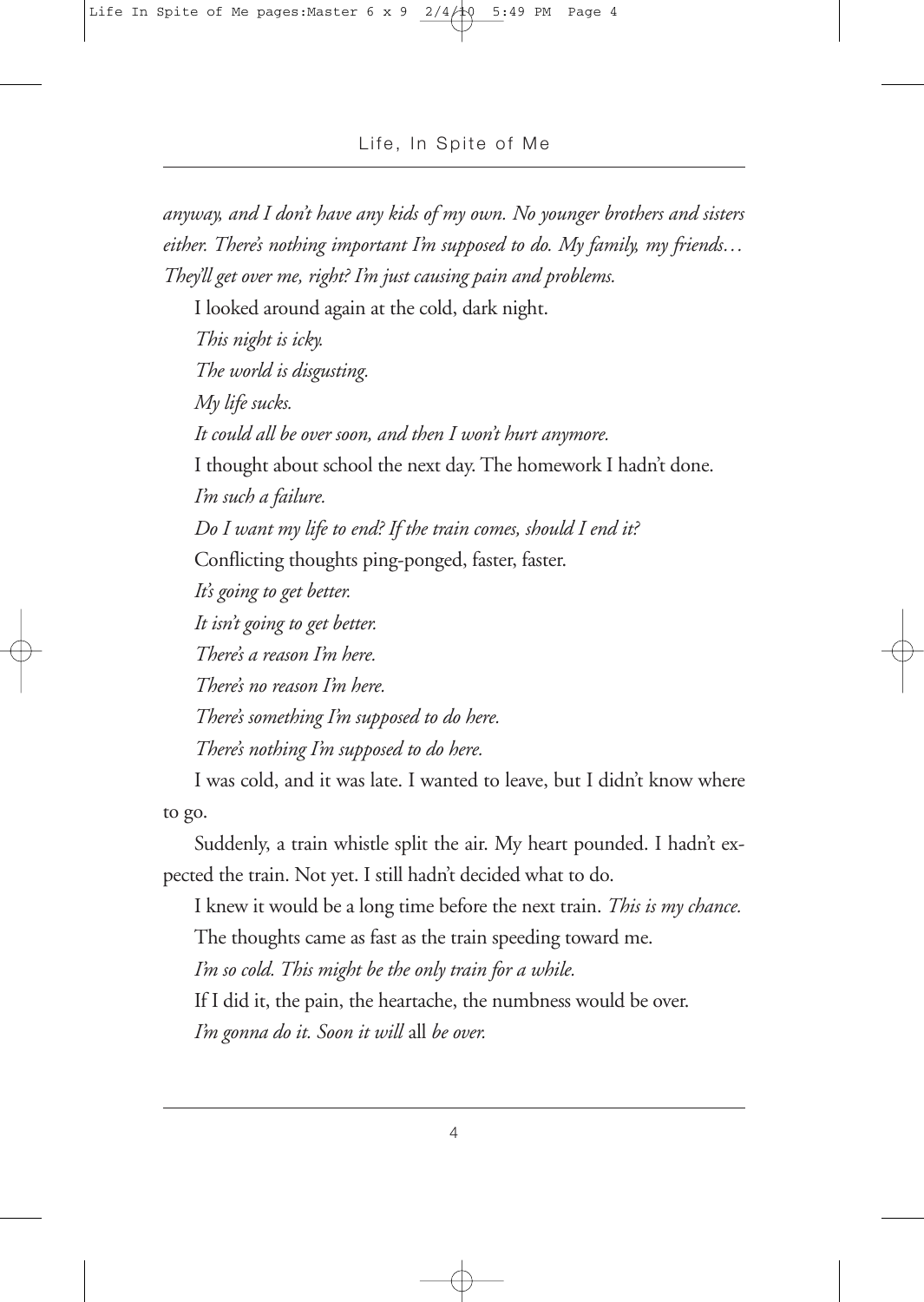*anyway, and I don't have any kids of my own. No younger brothers and sisters either. There's nothing important I'm supposed to do. My family, my friends… They'll get over me, right? I'm just causing pain and problems.*

I looked around again at the cold, dark night.

*This night is icky. The world is disgusting. My life sucks. It could all be over soon, and then I won't hurt anymore.* I thought about school the next day. The homework I hadn't done. *I'm such a failure. Do I want my life to end? If the train comes, should I end it?* Conflicting thoughts ping-ponged, faster, faster. *It's going to get better. It isn't going to get better. There's a reason I'm here. There's no reason I'm here. There's something I'm supposed to do here. There's nothing I'm supposed to do here.*

I was cold, and it was late. I wanted to leave, but I didn't know where to go.

Suddenly, a train whistle split the air. My heart pounded. I hadn't expected the train. Not yet. I still hadn't decided what to do.

I knew it would be a long time before the next train. *This is my chance.* The thoughts came as fast as the train speeding toward me.

*I'm so cold. This might be the only train for a while.*

If I did it, the pain, the heartache, the numbness would be over. *I'm gonna do it. Soon it will* all *be over.*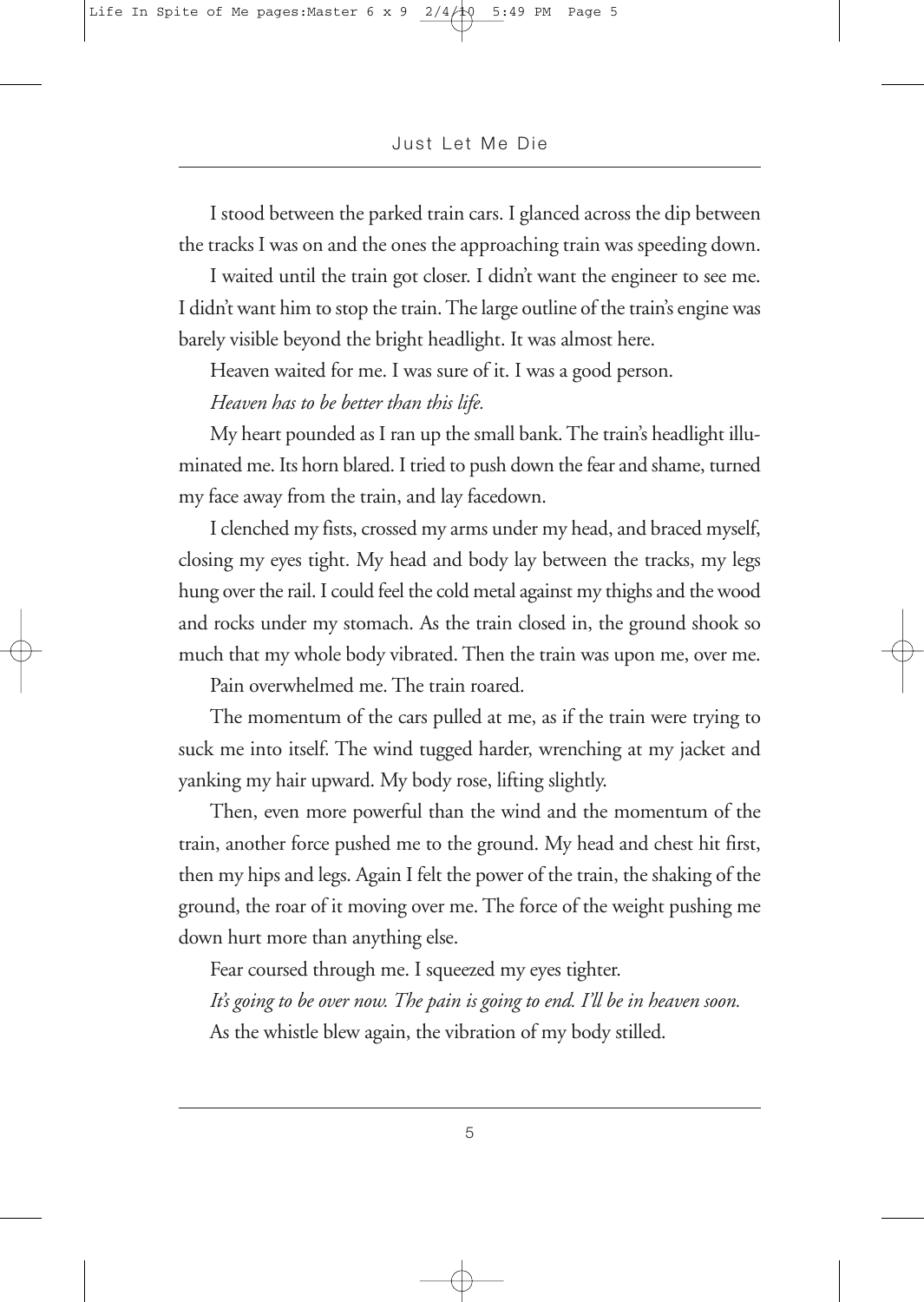I stood between the parked train cars. I glanced across the dip between the tracks I was on and the ones the approaching train was speeding down.

I waited until the train got closer. I didn't want the engineer to see me. I didn't want him to stop the train. The large outline of the train's engine was barely visible beyond the bright headlight. It was almost here.

Heaven waited for me. I was sure of it. I was a good person.

*Heaven has to be better than this life.*

My heart pounded as I ran up the small bank. The train's headlight illuminated me. Its horn blared. I tried to push down the fear and shame, turned my face away from the train, and lay facedown.

I clenched my fists, crossed my arms under my head, and braced myself, closing my eyes tight. My head and body lay between the tracks, my legs hung over the rail. I could feel the cold metal against my thighs and the wood and rocks under my stomach. As the train closed in, the ground shook so much that my whole body vibrated. Then the train was upon me, over me.

Pain overwhelmed me. The train roared.

The momentum of the cars pulled at me, as if the train were trying to suck me into itself. The wind tugged harder, wrenching at my jacket and yanking my hair upward. My body rose, lifting slightly.

Then, even more powerful than the wind and the momentum of the train, another force pushed me to the ground. My head and chest hit first, then my hips and legs. Again I felt the power of the train, the shaking of the ground, the roar of it moving over me. The force of the weight pushing me down hurt more than anything else.

Fear coursed through me. I squeezed my eyes tighter.

*It's going to be over now. The pain is going to end. I'll be in heaven soon.* As the whistle blew again, the vibration of my body stilled.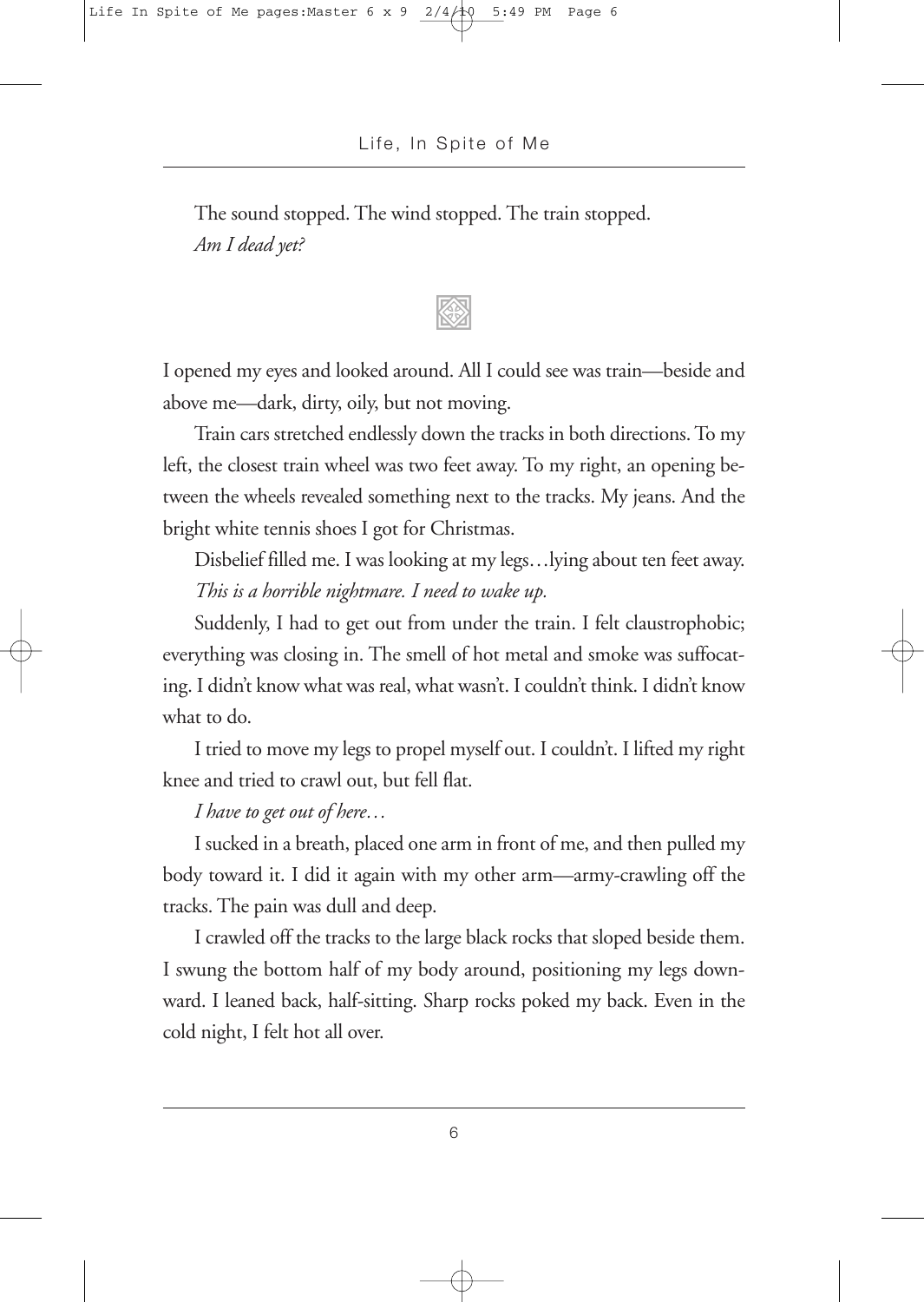The sound stopped. The wind stopped. The train stopped. *Am I dead yet?*

I opened my eyes and looked around. All I could see was train—beside and above me—dark, dirty, oily, but not moving.

Train cars stretched endlessly down the tracks in both directions. To my left, the closest train wheel was two feet away. To my right, an opening between the wheels revealed something next to the tracks. My jeans. And the bright white tennis shoes I got for Christmas.

Disbelief filled me. I was looking at my legs…lying about ten feet away. *This is a horrible nightmare. I need to wake up.*

Suddenly, I had to get out from under the train. I felt claustrophobic; everything was closing in. The smell of hot metal and smoke was suffocating. I didn't know what was real, what wasn't. I couldn't think. I didn't know what to do.

I tried to move my legs to propel myself out. I couldn't. I lifted my right knee and tried to crawl out, but fell flat.

*I have to get out of here…*

I sucked in a breath, placed one arm in front of me, and then pulled my body toward it. I did it again with my other arm—army-crawling off the tracks. The pain was dull and deep.

I crawled off the tracks to the large black rocks that sloped beside them. I swung the bottom half of my body around, positioning my legs downward. I leaned back, half-sitting. Sharp rocks poked my back. Even in the cold night, I felt hot all over.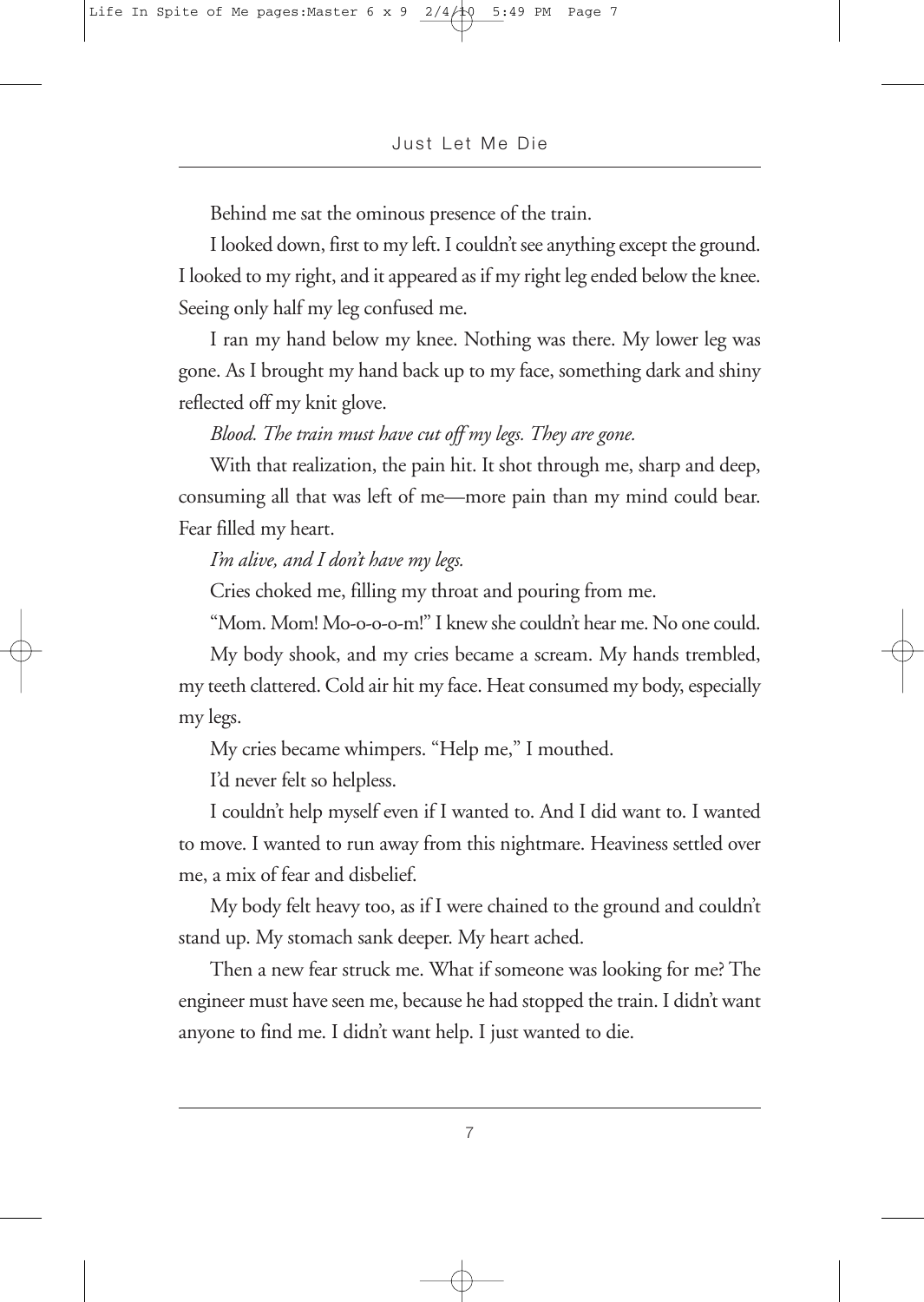Behind me sat the ominous presence of the train.

I looked down, first to my left. I couldn't see anything except the ground. I looked to my right, and it appeared as if my right leg ended below the knee. Seeing only half my leg confused me.

I ran my hand below my knee. Nothing was there. My lower leg was gone. As I brought my hand back up to my face, something dark and shiny reflected off my knit glove.

### *Blood. The train must have cut off my legs. They are gone.*

With that realization, the pain hit. It shot through me, sharp and deep, consuming all that was left of me—more pain than my mind could bear. Fear filled my heart.

### *I'm alive, and I don't have my legs.*

Cries choked me, filling my throat and pouring from me.

"Mom. Mom! Mo-o-o-o-m!" I knew she couldn't hear me. No one could.

My body shook, and my cries became a scream. My hands trembled, my teeth clattered. Cold air hit my face. Heat consumed my body, especially my legs.

My cries became whimpers. "Help me," I mouthed.

I'd never felt so helpless.

I couldn't help myself even if I wanted to. And I did want to. I wanted to move. I wanted to run away from this nightmare. Heaviness settled over me, a mix of fear and disbelief.

My body felt heavy too, as if I were chained to the ground and couldn't stand up. My stomach sank deeper. My heart ached.

Then a new fear struck me. What if someone was looking for me? The engineer must have seen me, because he had stopped the train. I didn't want anyone to find me. I didn't want help. I just wanted to die.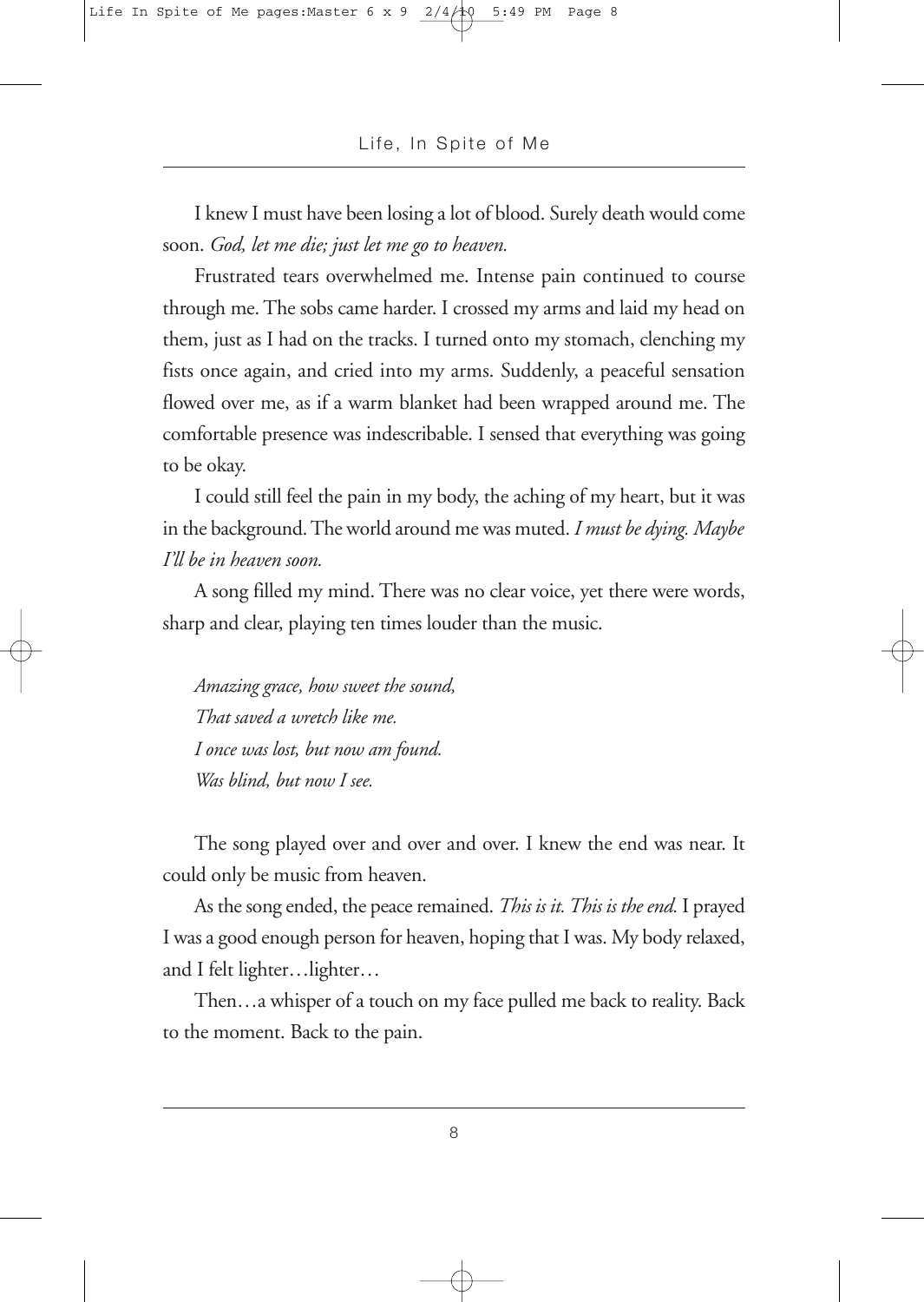I knew I must have been losing a lot of blood. Surely death would come soon. *God, let me die; just let me go to heaven.*

Frustrated tears overwhelmed me. Intense pain continued to course through me. The sobs came harder. I crossed my arms and laid my head on them, just as I had on the tracks. I turned onto my stomach, clenching my fists once again, and cried into my arms. Suddenly, a peaceful sensation flowed over me, as if a warm blanket had been wrapped around me. The comfortable presence was indescribable. I sensed that everything was going to be okay.

I could still feel the pain in my body, the aching of my heart, but it was in the background.The world around me was muted. *I must be dying. Maybe I'll be in heaven soon.*

A song filled my mind. There was no clear voice, yet there were words, sharp and clear, playing ten times louder than the music.

*Amazing grace, how sweet the sound, That saved a wretch like me. I once was lost, but now am found. Was blind, but now I see.*

The song played over and over and over. I knew the end was near. It could only be music from heaven.

As thesong ended, the peaceremained. *This is it.This is the end.* I prayed I was a good enough person for heaven, hoping that I was. My body relaxed, and I felt lighter…lighter…

Then…a whisper of a touch on my face pulled me back to reality. Back to the moment. Back to the pain.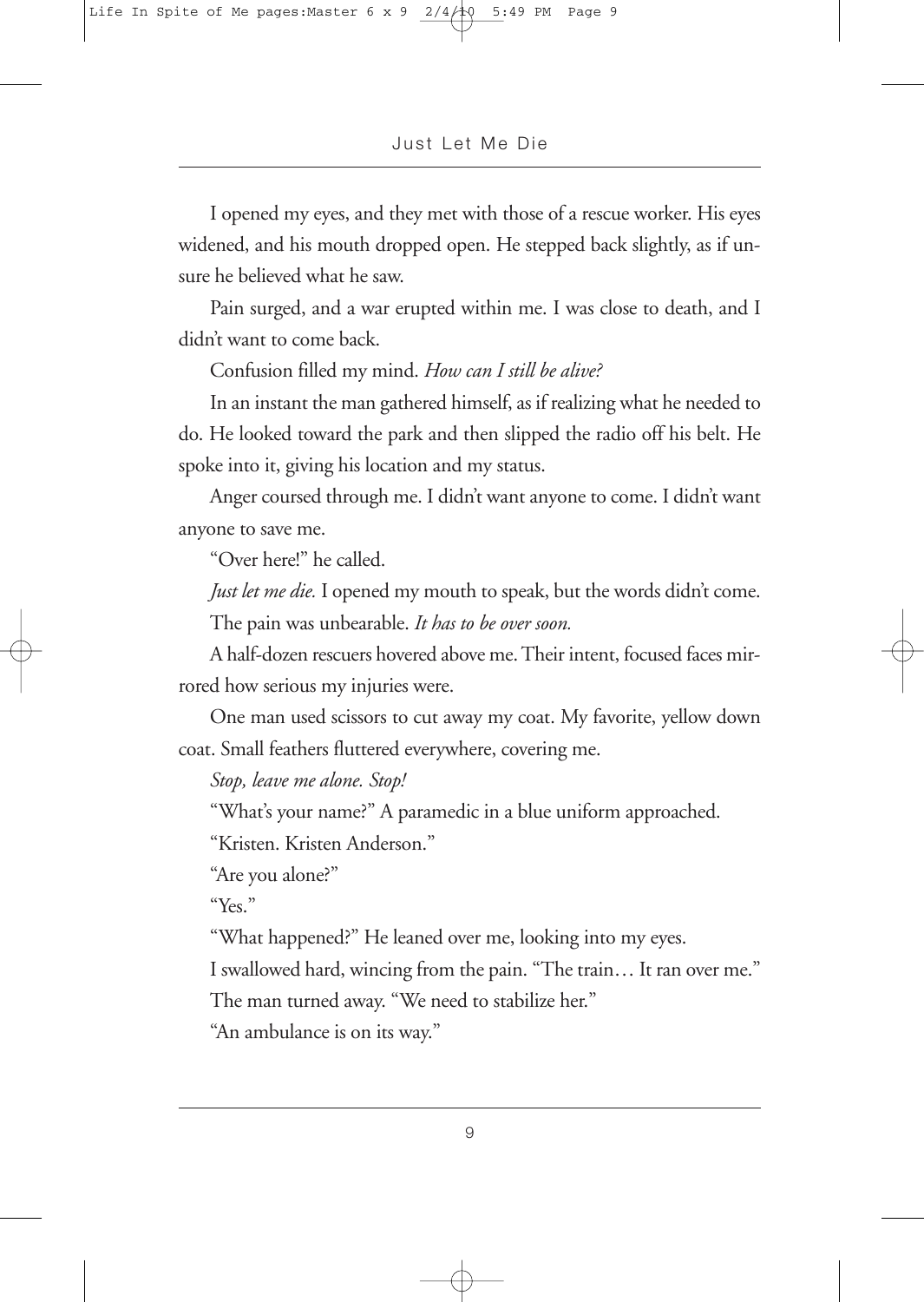I opened my eyes, and they met with those of a rescue worker. His eyes widened, and his mouth dropped open. He stepped back slightly, as if unsure he believed what he saw.

Pain surged, and a war erupted within me. I was close to death, and I didn't want to come back.

Confusion filled my mind. *How can I still be alive?*

In an instant the man gathered himself, as if realizing what he needed to do. He looked toward the park and then slipped the radio off his belt. He spoke into it, giving his location and my status.

Anger coursed through me. I didn't want anyone to come. I didn't want anyone to save me.

"Over here!" he called.

*Just let me die.* I opened my mouth to speak, but the words didn't come. The pain was unbearable. *It has to be over soon.*

A half-dozen rescuers hovered above me.Their intent, focused faces mirrored how serious my injuries were.

One man used scissors to cut away my coat. My favorite, yellow down coat. Small feathers fluttered everywhere, covering me.

*Stop, leave me alone. Stop!*

"What's your name?" A paramedic in a blue uniform approached.

"Kristen. Kristen Anderson."

"Are you alone?"

"Yes."

"What happened?" He leaned over me, looking into my eyes.

I swallowed hard, wincing from the pain. "The train… It ran over me."

The man turned away. "We need to stabilize her."

"An ambulance is on its way."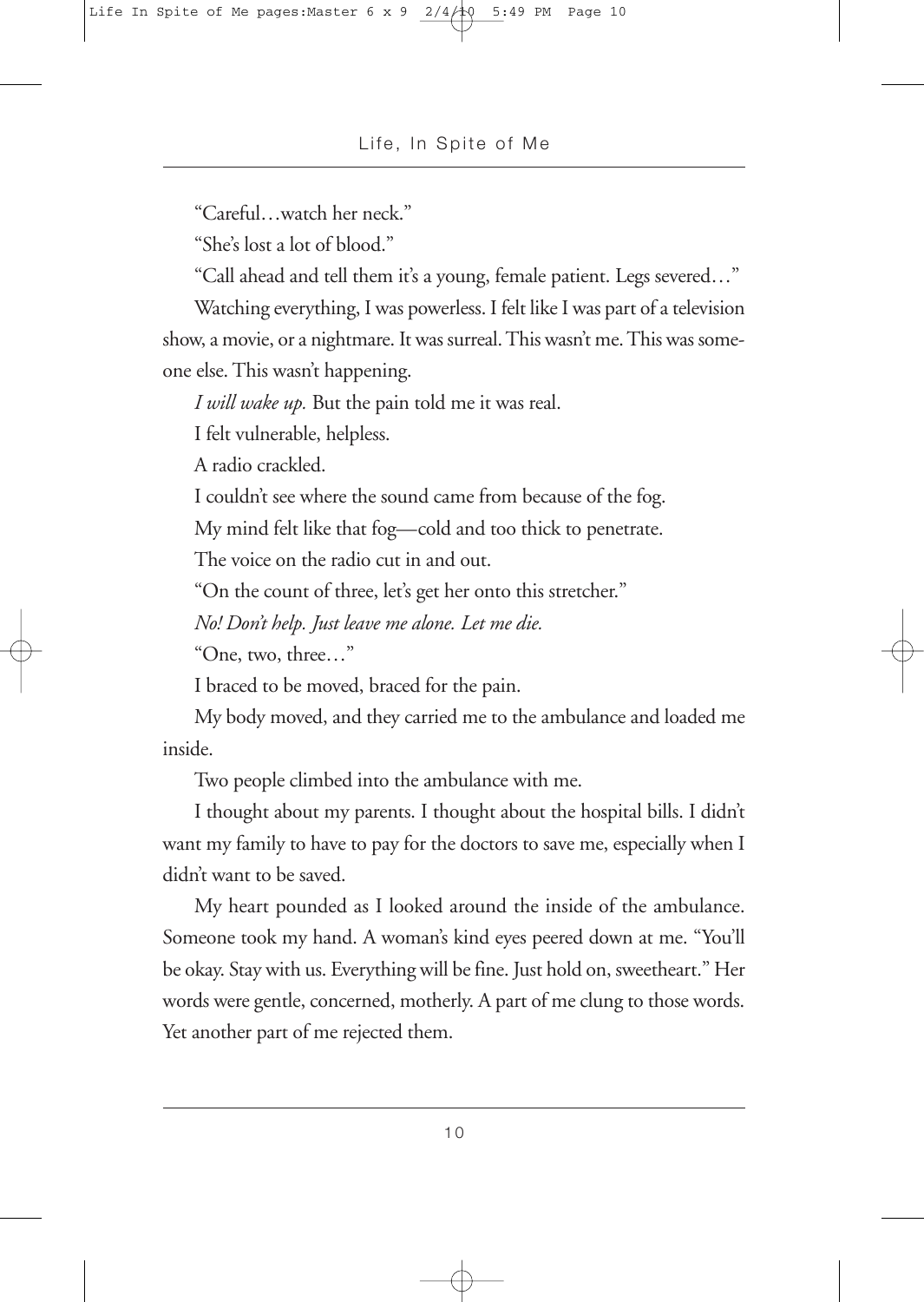"Careful…watch her neck."

"She's lost a lot of blood."

"Call ahead and tell them it's a young, female patient. Legs severed…"

Watching everything, I was powerless. I felt like I was part of a television show, a movie, or a nightmare. It was surreal.This wasn't me.This was someone else. This wasn't happening.

*I will wake up.* But the pain told me it was real.

I felt vulnerable, helpless.

A radio crackled.

I couldn't see where the sound came from because of the fog.

My mind felt like that fog—cold and too thick to penetrate.

The voice on the radio cut in and out.

"On the count of three, let's get her onto this stretcher."

*No! Don't help. Just leave me alone. Let me die.*

"One, two, three…"

I braced to be moved, braced for the pain.

My body moved, and they carried me to the ambulance and loaded me inside.

Two people climbed into the ambulance with me.

I thought about my parents. I thought about the hospital bills. I didn't want my family to have to pay for the doctors to save me, especially when I didn't want to be saved.

My heart pounded as I looked around the inside of the ambulance. Someone took my hand. A woman's kind eyes peered down at me. "You'll be okay. Stay with us. Everything will be fine. Just hold on, sweetheart." Her words were gentle, concerned, motherly. A part of me clung to those words. Yet another part of me rejected them.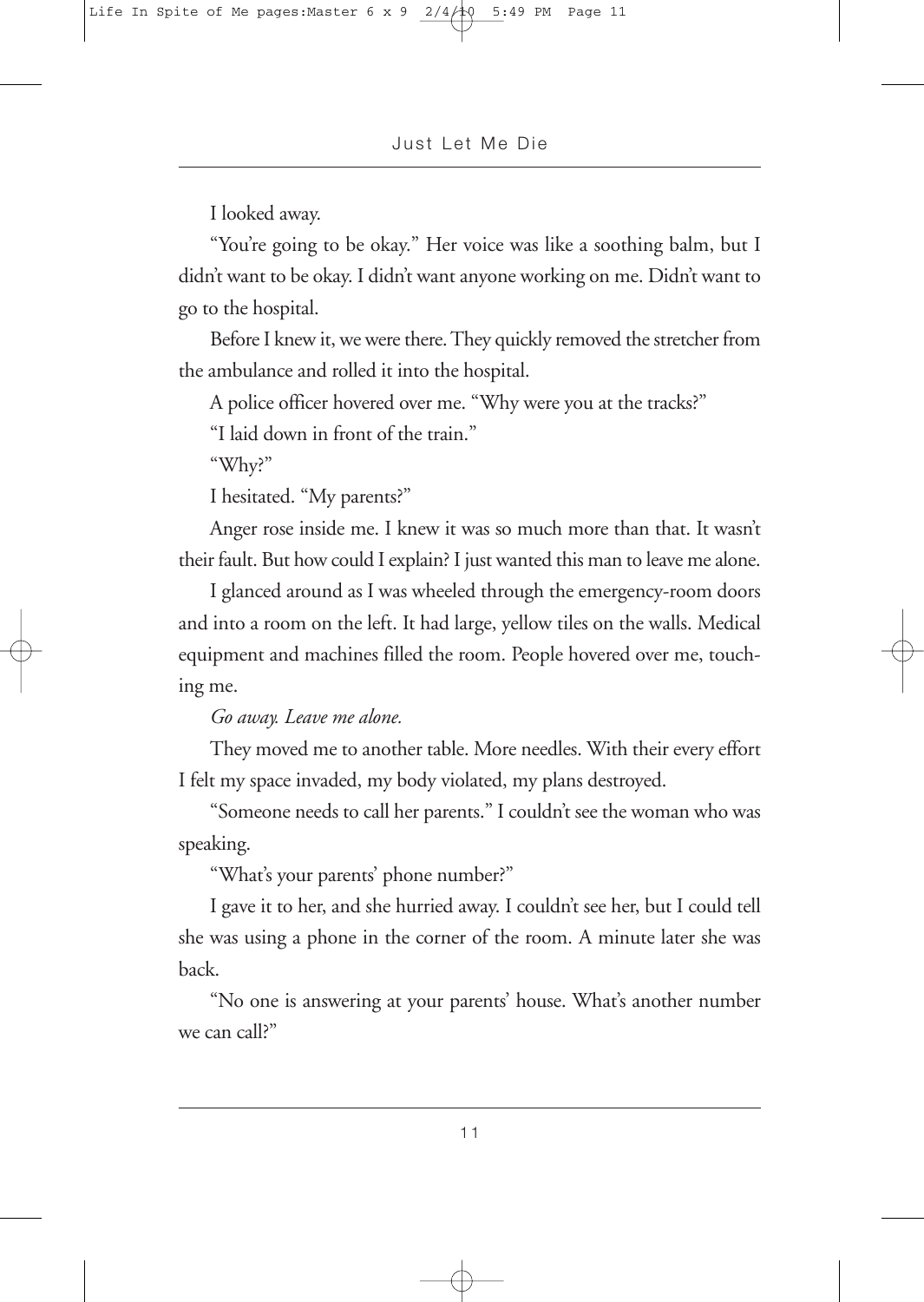I looked away.

"You're going to be okay." Her voice was like a soothing balm, but I didn't want to be okay. I didn't want anyone working on me. Didn't want to go to the hospital.

Before I knew it, we were there. They quickly removed the stretcher from the ambulance and rolled it into the hospital.

A police officer hovered over me. "Why were you at the tracks?"

"I laid down in front of the train."

"Why?"

I hesitated. "My parents?"

Anger rose inside me. I knew it was so much more than that. It wasn't their fault. But how could I explain? I just wanted this man to leave me alone.

I glanced around as I was wheeled through the emergency-room doors and into a room on the left. It had large, yellow tiles on the walls. Medical equipment and machines filled the room. People hovered over me, touching me.

*Go away. Leave me alone.*

They moved me to another table. More needles. With their every effort I felt my space invaded, my body violated, my plans destroyed.

"Someone needs to call her parents." I couldn't see the woman who was speaking.

"What's your parents' phone number?"

I gave it to her, and she hurried away. I couldn't see her, but I could tell she was using a phone in the corner of the room. A minute later she was back.

"No one is answering at your parents' house. What's another number we can call?"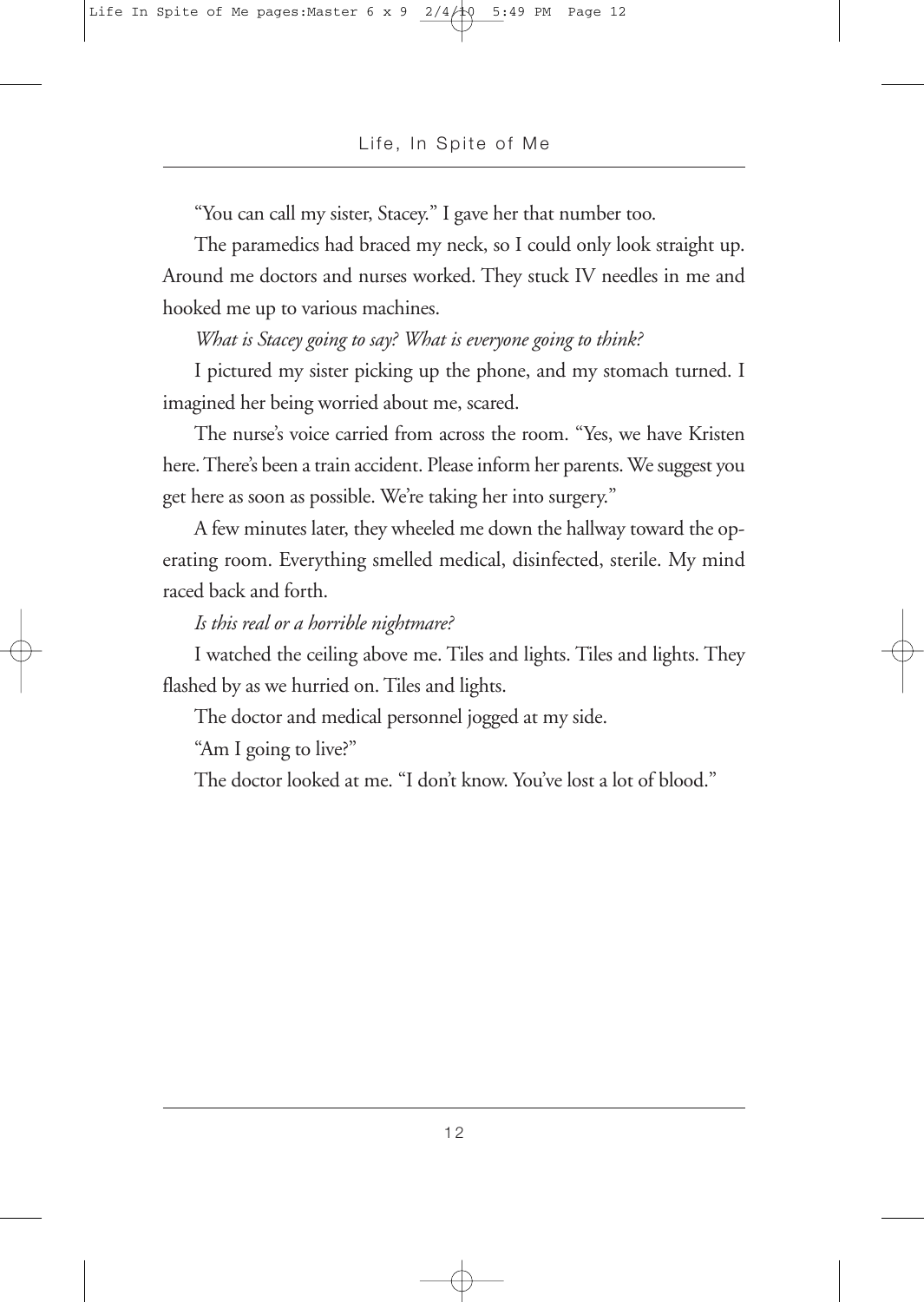"You can call my sister, Stacey." I gave her that number too.

The paramedics had braced my neck, so I could only look straight up. Around me doctors and nurses worked. They stuck IV needles in me and hooked me up to various machines.

*What is Stacey going to say? What is everyone going to think?*

I pictured my sister picking up the phone, and my stomach turned. I imagined her being worried about me, scared.

The nurse's voice carried from across the room. "Yes, we have Kristen here. There's been a train accident. Please inform her parents. We suggest you get here as soon as possible. We're taking her into surgery."

A few minutes later, they wheeled me down the hallway toward the operating room. Everything smelled medical, disinfected, sterile. My mind raced back and forth.

### *Is this real or a horrible nightmare?*

I watched the ceiling above me. Tiles and lights. Tiles and lights. They flashed by as we hurried on. Tiles and lights.

The doctor and medical personnel jogged at my side.

"Am I going to live?"

The doctor looked at me. "I don't know. You've lost a lot of blood."